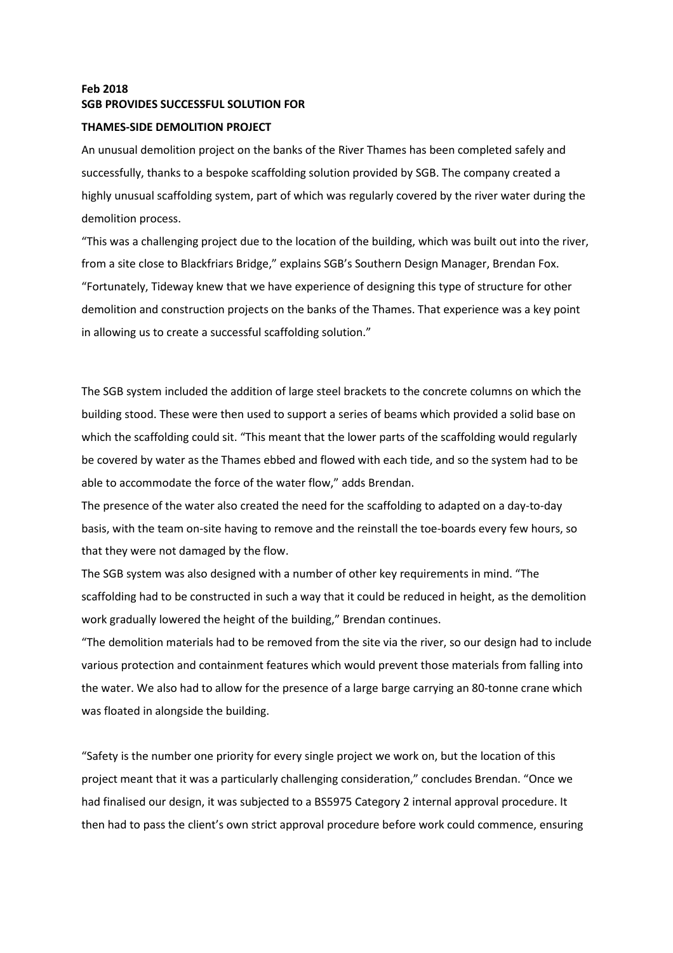## Feb 2018 SGB PROVIDES SUCCESSFUL SOLUTION FOR

## THAMES-SIDE DEMOLITION PROJECT

An unusual demolition project on the banks of the River Thames has been completed safely and successfully, thanks to a bespoke scaffolding solution provided by SGB. The company created a highly unusual scaffolding system, part of which was regularly covered by the river water during the demolition process.

"This was a challenging project due to the location of the building, which was built out into the river, from a site close to Blackfriars Bridge," explains SGB's Southern Design Manager, Brendan Fox. "Fortunately, Tideway knew that we have experience of designing this type of structure for other demolition and construction projects on the banks of the Thames. That experience was a key point in allowing us to create a successful scaffolding solution."

The SGB system included the addition of large steel brackets to the concrete columns on which the building stood. These were then used to support a series of beams which provided a solid base on which the scaffolding could sit. "This meant that the lower parts of the scaffolding would regularly be covered by water as the Thames ebbed and flowed with each tide, and so the system had to be able to accommodate the force of the water flow," adds Brendan.

The presence of the water also created the need for the scaffolding to adapted on a day-to-day basis, with the team on-site having to remove and the reinstall the toe-boards every few hours, so that they were not damaged by the flow.

The SGB system was also designed with a number of other key requirements in mind. "The scaffolding had to be constructed in such a way that it could be reduced in height, as the demolition work gradually lowered the height of the building," Brendan continues.

"The demolition materials had to be removed from the site via the river, so our design had to include various protection and containment features which would prevent those materials from falling into the water. We also had to allow for the presence of a large barge carrying an 80-tonne crane which was floated in alongside the building.

"Safety is the number one priority for every single project we work on, but the location of this project meant that it was a particularly challenging consideration," concludes Brendan. "Once we had finalised our design, it was subjected to a BS5975 Category 2 internal approval procedure. It then had to pass the client's own strict approval procedure before work could commence, ensuring